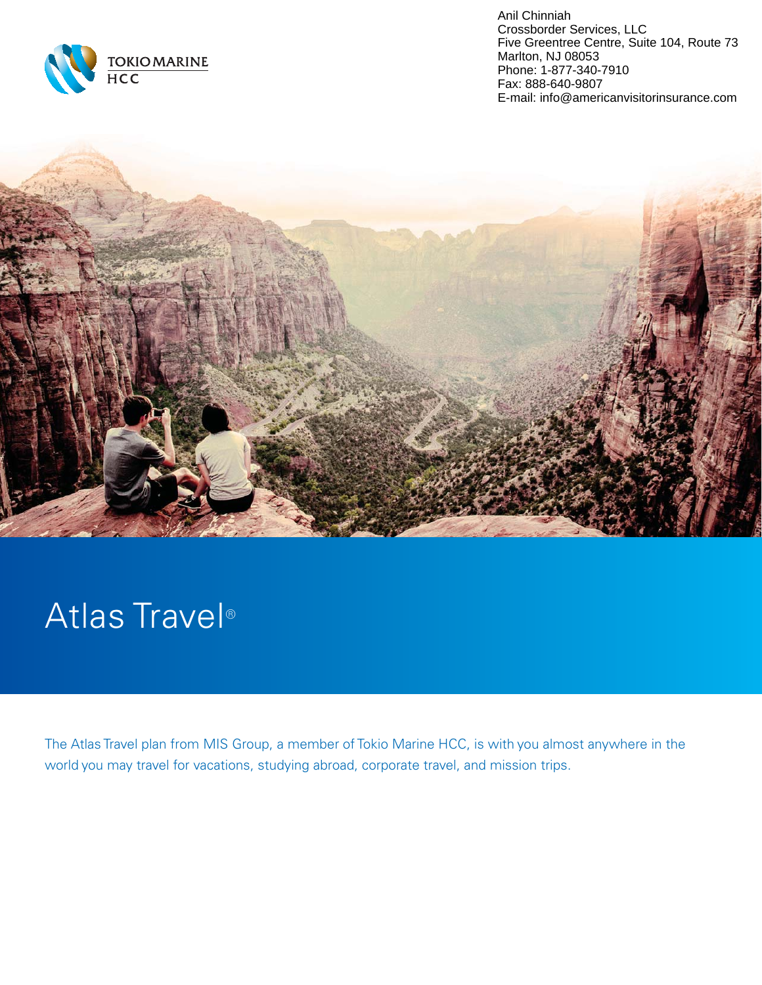

Anil Chinniah Crossborder Services, LLC Five Greentree Centre, Suite 104, Route 73 Marlton, NJ 08053 Phone: 1-877-340-7910 Fax: 888-640-9807 E-mail: info@americanvisitorinsurance.com



# Atlas Travel®

The Atlas Travel plan from MIS Group, a member of Tokio Marine HCC, is with you almost anywhere in the world you may travel for vacations, studying abroad, corporate travel, and mission trips.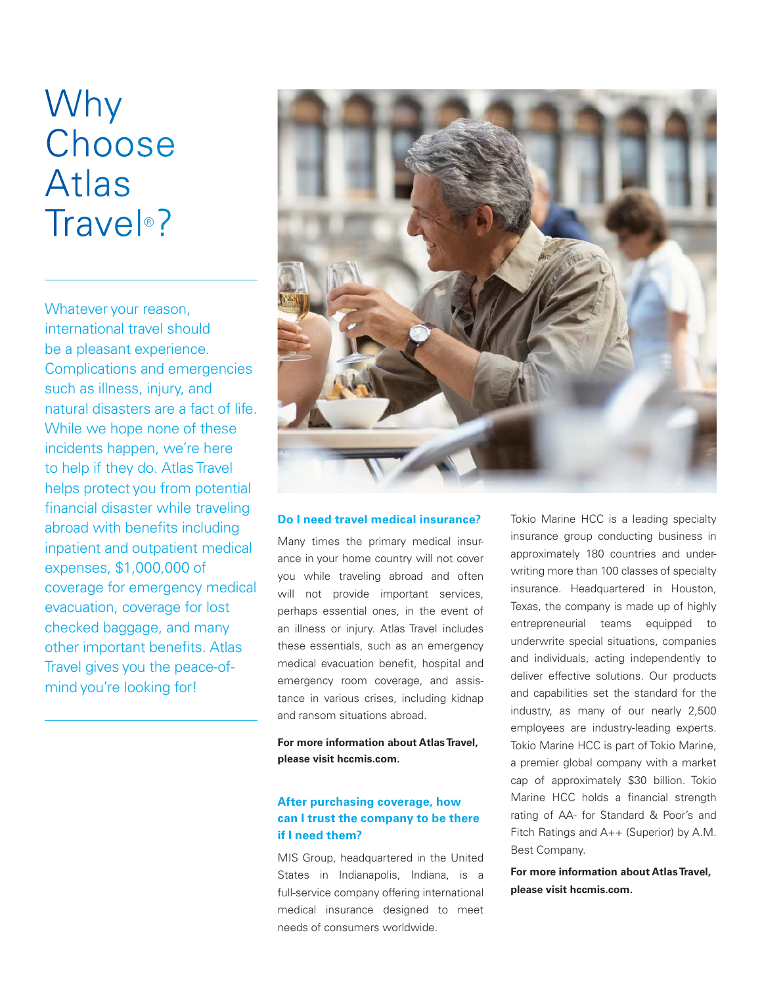# Why Choose **Atlas** Trave<sup>®</sup>?

Whatever your reason, international travel should be a pleasant experience. Complications and emergencies such as illness, injury, and natural disasters are a fact of life. While we hope none of these incidents happen, we're here to help if they do. Atlas Travel helps protect you from potential financial disaster while traveling abroad with benefits including inpatient and outpatient medical expenses, \$1,000,000 of coverage for emergency medical evacuation, coverage for lost checked baggage, and many other important benefits. Atlas Travel gives you the peace-ofmind you're looking for!



#### **Do I need travel medical insurance?**

Many times the primary medical insurance in your home country will not cover you while traveling abroad and often will not provide important services, perhaps essential ones, in the event of an illness or injury. Atlas Travel includes these essentials, such as an emergency medical evacuation benefit, hospital and emergency room coverage, and assistance in various crises, including kidnap and ransom situations abroad.

**For more information about Atlas Travel, please visit hccmis.com.**

### **After purchasing coverage, how can I trust the company to be there if I need them?**

MIS Group, headquartered in the United States in Indianapolis, Indiana, is a full-service company offering international medical insurance designed to meet needs of consumers worldwide.

Tokio Marine HCC is a leading specialty insurance group conducting business in approximately 180 countries and underwriting more than 100 classes of specialty insurance. Headquartered in Houston, Texas, the company is made up of highly entrepreneurial teams equipped to underwrite special situations, companies and individuals, acting independently to deliver effective solutions. Our products and capabilities set the standard for the industry, as many of our nearly 2,500 employees are industry-leading experts. Tokio Marine HCC is part of Tokio Marine, a premier global company with a market cap of approximately \$30 billion. Tokio Marine HCC holds a financial strength rating of AA- for Standard & Poor's and Fitch Ratings and A++ (Superior) by A.M. Best Company.

**For more information about Atlas Travel, please visit hccmis.com.**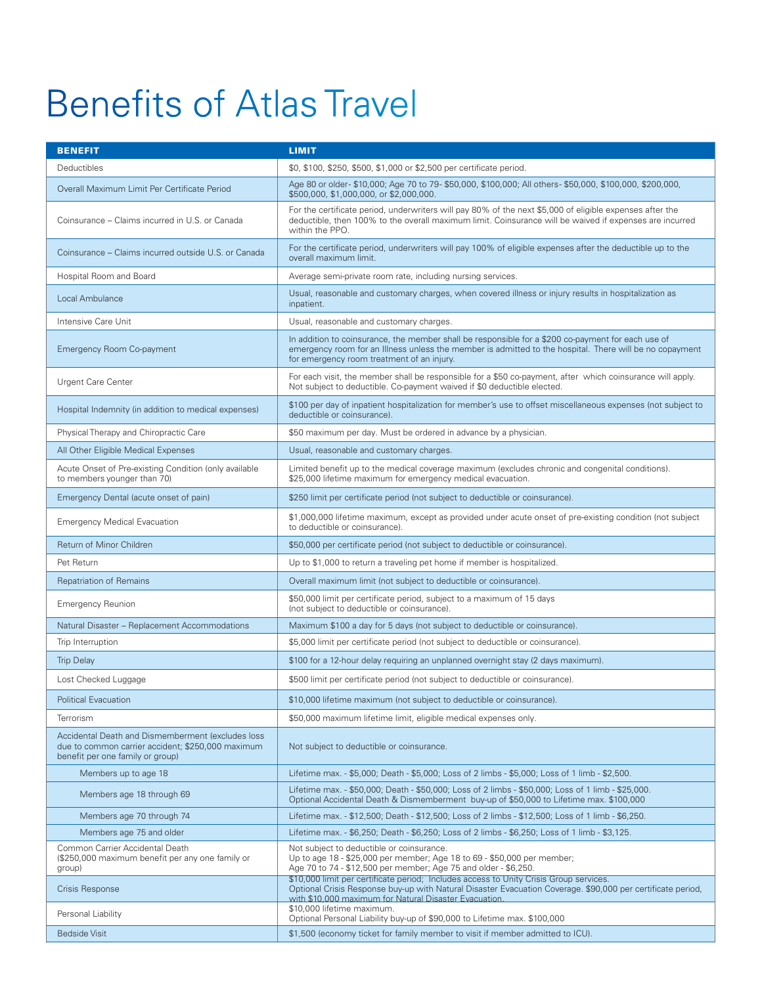# **Benefits of Atlas Travel**

| <b>BENEFIT</b>                                                                                                                             | <b>LIMIT</b>                                                                                                                                                                                                                                                    |
|--------------------------------------------------------------------------------------------------------------------------------------------|-----------------------------------------------------------------------------------------------------------------------------------------------------------------------------------------------------------------------------------------------------------------|
| Deductibles                                                                                                                                | \$0, \$100, \$250, \$500, \$1,000 or \$2,500 per certificate period.                                                                                                                                                                                            |
| Overall Maximum Limit Per Certificate Period                                                                                               | Age 80 or older-\$10,000; Age 70 to 79-\$50,000, \$100,000; All others-\$50,000, \$100,000, \$200,000,<br>\$500,000, \$1,000,000, or \$2,000,000.                                                                                                               |
| Coinsurance – Claims incurred in U.S. or Canada                                                                                            | For the certificate period, underwriters will pay 80% of the next \$5,000 of eligible expenses after the<br>deductible, then 100% to the overall maximum limit. Coinsurance will be waived if expenses are incurred<br>within the PPO.                          |
| Coinsurance – Claims incurred outside U.S. or Canada                                                                                       | For the certificate period, underwriters will pay 100% of eligible expenses after the deductible up to the<br>overall maximum limit.                                                                                                                            |
| Hospital Room and Board                                                                                                                    | Average semi-private room rate, including nursing services.                                                                                                                                                                                                     |
| Local Ambulance                                                                                                                            | Usual, reasonable and customary charges, when covered illness or injury results in hospitalization as<br>inpatient.                                                                                                                                             |
| Intensive Care Unit                                                                                                                        | Usual, reasonable and customary charges.                                                                                                                                                                                                                        |
| <b>Emergency Room Co-payment</b>                                                                                                           | In addition to coinsurance, the member shall be responsible for a \$200 co-payment for each use of<br>emergency room for an Illness unless the member is admitted to the hospital. There will be no copayment<br>for emergency room treatment of an injury.     |
| <b>Urgent Care Center</b>                                                                                                                  | For each visit, the member shall be responsible for a \$50 co-payment, after which coinsurance will apply.<br>Not subject to deductible. Co-payment waived if \$0 deductible elected.                                                                           |
| Hospital Indemnity (in addition to medical expenses)                                                                                       | \$100 per day of inpatient hospitalization for member's use to offset miscellaneous expenses (not subject to<br>deductible or coinsurance).                                                                                                                     |
| Physical Therapy and Chiropractic Care                                                                                                     | \$50 maximum per day. Must be ordered in advance by a physician.                                                                                                                                                                                                |
| All Other Eligible Medical Expenses                                                                                                        | Usual, reasonable and customary charges.                                                                                                                                                                                                                        |
| Acute Onset of Pre-existing Condition (only available<br>to members younger than 70)                                                       | Limited benefit up to the medical coverage maximum (excludes chronic and congenital conditions).<br>\$25,000 lifetime maximum for emergency medical evacuation.                                                                                                 |
| Emergency Dental (acute onset of pain)                                                                                                     | \$250 limit per certificate period (not subject to deductible or coinsurance).                                                                                                                                                                                  |
| <b>Emergency Medical Evacuation</b>                                                                                                        | \$1,000,000 lifetime maximum, except as provided under acute onset of pre-existing condition (not subject<br>to deductible or coinsurance).                                                                                                                     |
| Return of Minor Children                                                                                                                   | \$50,000 per certificate period (not subject to deductible or coinsurance).                                                                                                                                                                                     |
| Pet Return                                                                                                                                 | Up to \$1,000 to return a traveling pet home if member is hospitalized.                                                                                                                                                                                         |
| <b>Repatriation of Remains</b>                                                                                                             | Overall maximum limit (not subject to deductible or coinsurance).                                                                                                                                                                                               |
| <b>Emergency Reunion</b>                                                                                                                   | \$50,000 limit per certificate period, subject to a maximum of 15 days<br>(not subject to deductible or coinsurance).                                                                                                                                           |
| Natural Disaster - Replacement Accommodations                                                                                              | Maximum \$100 a day for 5 days (not subject to deductible or coinsurance).                                                                                                                                                                                      |
| Trip Interruption                                                                                                                          | \$5,000 limit per certificate period (not subject to deductible or coinsurance).                                                                                                                                                                                |
| <b>Trip Delay</b>                                                                                                                          | \$100 for a 12-hour delay requiring an unplanned overnight stay (2 days maximum).                                                                                                                                                                               |
| Lost Checked Luggage                                                                                                                       | \$500 limit per certificate period (not subject to deductible or coinsurance).                                                                                                                                                                                  |
| <b>Political Evacuation</b>                                                                                                                | \$10,000 lifetime maximum (not subject to deductible or coinsurance).                                                                                                                                                                                           |
| Terrorism                                                                                                                                  | \$50,000 maximum lifetime limit, eligible medical expenses only.                                                                                                                                                                                                |
| Accidental Death and Dismemberment (excludes loss<br>due to common carrier accident; \$250,000 maximum<br>benefit per one family or group) | Not subject to deductible or coinsurance.                                                                                                                                                                                                                       |
| Members up to age 18                                                                                                                       | Lifetime max. - \$5,000; Death - \$5,000; Loss of 2 limbs - \$5,000; Loss of 1 limb - \$2,500.                                                                                                                                                                  |
| Members age 18 through 69                                                                                                                  | Lifetime max. - \$50,000; Death - \$50,000; Loss of 2 limbs - \$50,000; Loss of 1 limb - \$25,000.<br>Optional Accidental Death & Dismemberment buy-up of \$50,000 to Lifetime max, \$100,000                                                                   |
| Members age 70 through 74                                                                                                                  | Lifetime max. - \$12,500; Death - \$12,500; Loss of 2 limbs - \$12,500; Loss of 1 limb - \$6,250.                                                                                                                                                               |
| Members age 75 and older                                                                                                                   | Lifetime max. - \$6,250; Death - \$6,250; Loss of 2 limbs - \$6,250; Loss of 1 limb - \$3,125.                                                                                                                                                                  |
| Common Carrier Accidental Death<br>(\$250,000 maximum benefit per any one family or<br>group)                                              | Not subject to deductible or coinsurance.<br>Up to age 18 - \$25,000 per member; Age 18 to 69 - \$50,000 per member;<br>Age 70 to 74 - \$12,500 per member; Age 75 and older - \$6,250.                                                                         |
| Crisis Response                                                                                                                            | \$10,000 limit per certificate period; Includes access to Unity Crisis Group services.<br>Optional Crisis Response buy-up with Natural Disaster Evacuation Coverage. \$90,000 per certificate period,<br>with \$10,000 maximum for Natural Disaster Evacuation. |
| Personal Liability                                                                                                                         | \$10,000 lifetime maximum.<br>Optional Personal Liability buy-up of \$90,000 to Lifetime max. \$100,000                                                                                                                                                         |
| <b>Bedside Visit</b>                                                                                                                       | \$1,500 (economy ticket for family member to visit if member admitted to ICU).                                                                                                                                                                                  |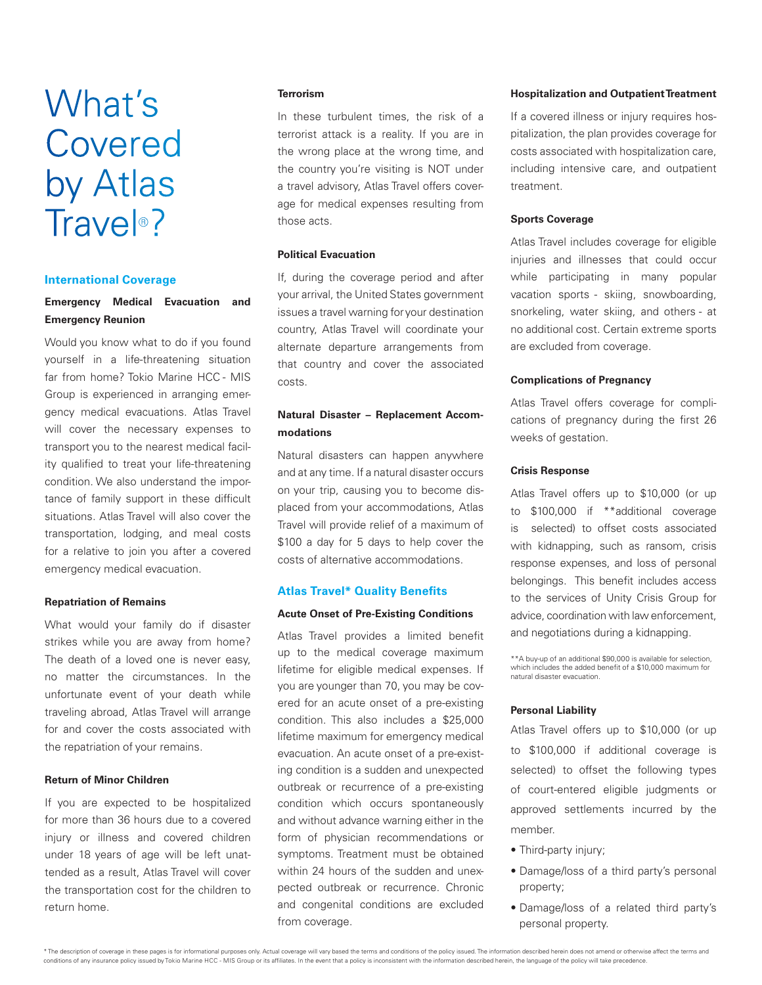# What's Covered by Atlas Trave<sup>®</sup>?

#### **International Coverage**

### **Emergency Medical Evacuation and Emergency Reunion**

Would you know what to do if you found yourself in a life-threatening situation far from home? Tokio Marine HCC - MIS Group is experienced in arranging emergency medical evacuations. Atlas Travel will cover the necessary expenses to transport you to the nearest medical facility qualified to treat your life-threatening condition. We also understand the importance of family support in these difficult situations. Atlas Travel will also cover the transportation, lodging, and meal costs for a relative to join you after a covered emergency medical evacuation.

#### **Repatriation of Remains**

What would your family do if disaster strikes while you are away from home? The death of a loved one is never easy, no matter the circumstances. In the unfortunate event of your death while traveling abroad, Atlas Travel will arrange for and cover the costs associated with the repatriation of your remains.

#### **Return of Minor Children**

If you are expected to be hospitalized for more than 36 hours due to a covered injury or illness and covered children under 18 years of age will be left unattended as a result, Atlas Travel will cover the transportation cost for the children to return home.

#### **Terrorism**

In these turbulent times, the risk of a terrorist attack is a reality. If you are in the wrong place at the wrong time, and the country you're visiting is NOT under a travel advisory, Atlas Travel offers coverage for medical expenses resulting from those acts.

#### **Political Evacuation**

If, during the coverage period and after your arrival, the United States government issues a travel warning for your destination country, Atlas Travel will coordinate your alternate departure arrangements from that country and cover the associated costs.

### **Natural Disaster – Replacement Accommodations**

Natural disasters can happen anywhere and at any time. If a natural disaster occurs on your trip, causing you to become displaced from your accommodations, Atlas Travel will provide relief of a maximum of \$100 a day for 5 days to help cover the costs of alternative accommodations.

#### **Atlas Travel\* Quality Benefits**

#### **Acute Onset of Pre-Existing Conditions**

Atlas Travel provides a limited benefit up to the medical coverage maximum lifetime for eligible medical expenses. If you are younger than 70, you may be covered for an acute onset of a pre-existing condition. This also includes a \$25,000 lifetime maximum for emergency medical evacuation. An acute onset of a pre-existing condition is a sudden and unexpected outbreak or recurrence of a pre-existing condition which occurs spontaneously and without advance warning either in the form of physician recommendations or symptoms. Treatment must be obtained within 24 hours of the sudden and unexpected outbreak or recurrence. Chronic and congenital conditions are excluded from coverage.

#### **Hospitalization and Outpatient Treatment**

If a covered illness or injury requires hospitalization, the plan provides coverage for costs associated with hospitalization care, including intensive care, and outpatient treatment.

#### **Sports Coverage**

Atlas Travel includes coverage for eligible injuries and illnesses that could occur while participating in many popular vacation sports - skiing, snowboarding, snorkeling, water skiing, and others - at no additional cost. Certain extreme sports are excluded from coverage.

#### **Complications of Pregnancy**

Atlas Travel offers coverage for complications of pregnancy during the first 26 weeks of gestation.

#### **Crisis Response**

Atlas Travel offers up to \$10,000 (or up to \$100,000 if \*\*additional coverage is selected) to offset costs associated with kidnapping, such as ransom, crisis response expenses, and loss of personal belongings. This benefit includes access to the services of Unity Crisis Group for advice, coordination with law enforcement, and negotiations during a kidnapping.

\*\*A buy-up of an additional \$90,000 is available for selection, which includes the added benefit of a \$10,000 maximum for natural disaster evacuation.

#### **Personal Liability**

Atlas Travel offers up to \$10,000 (or up to \$100,000 if additional coverage is selected) to offset the following types of court-entered eligible judgments or approved settlements incurred by the member.

- Third-party injury;
- Damage/loss of a third party's personal property;
- Damage/loss of a related third party's personal property.

\* The description of coverage in these pages is for informational purposes only. Actual coverage will vary based the terms and conditions of the policy issued. The information described herein does not amend or otherwise a conditions of any insurance policy issued by Tokio Marine HCC - MIS Group or its affiliates. In the event that a policy is inconsistent with the information described herein, the language of the policy will take precedence.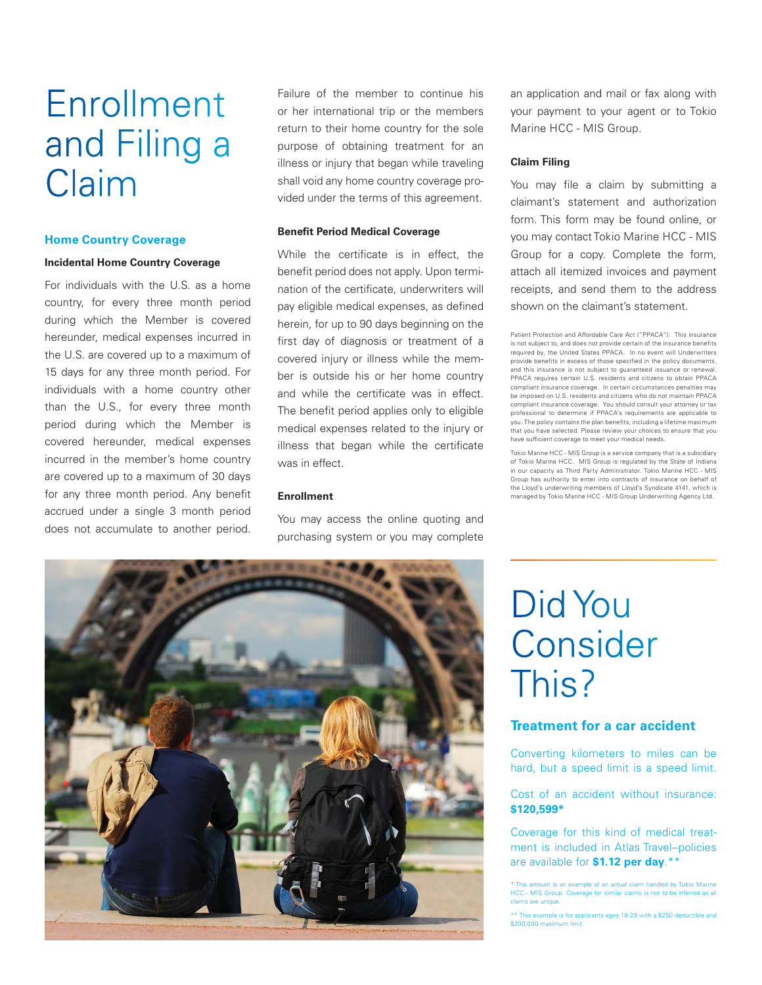# Enrollment and Filing a Claim

#### **Home Country Coverage**

#### **Incidental Home Country Coverage**

For individuals with the U.S. as a home country, for every three month period during which the Member is covered hereunder, medical expenses incurred in the U.S. are covered up to a maximum of 15 days for any three month period. For individuals with a home country other than the U.S., for every three month period during which the Member is covered hereunder, medical expenses incurred in the member's home country are covered up to a maximum of 30 days for any three month period. Any benefit accrued under a single 3 month period does not accumulate to another period.

Failure of the member to continue his or her international trip or the members return to their home country for the sole purpose of obtaining treatment for an illness or injury that began while traveling shall void any home country coverage provided under the terms of this agreement.

#### **Benefit Period Medical Coverage**

While the certificate is in effect, the benefit period does not apply. Upon termination of the certificate, underwriters will pay eligible medical expenses, as defined herein, for up to 90 days beginning on the first day of diagnosis or treatment of a covered injury or illness while the member is outside his or her home country and while the certificate was in effect. The benefit period applies only to eligible medical expenses related to the injury or illness that began while the certificate was in effect.

#### **Enrollment**

You may access the online quoting and purchasing system or you may complete an application and mail or fax along with your payment to your agent or to Tokio Marine HCC - MIS Group.

#### **Claim Filing**

You may file a claim by submitting a claimant's statement and authorization form. This form may be found online, or you may contact Tokio Marine HCC - MIS Group for a copy. Complete the form, attach all itemized invoices and payment receipts, and send them to the address shown on the claimant's statement.

Patient Protection and Affordable Care Act ("PPACA"): This insurance is not subject to, and does not provide certain of the insurance benefits required by, the United States PPACA. In no event will Underwriters provide benefits in excess of those specified in the policy documents, and this insurance is not subject to guaranteed issuance or renewal. PPACA requires certain U.S. residents and citizens to obtain PPACA compliant insurance coverage. In certain circumstances penalties may be imposed on U.S. residents and citizens who do not maintain PPACA compliant insurance coverage. You should consult your attorney or tax professional to determine if PPACA's requirements are applicable to you. The policy contains the plan benefits, including a lifetime maximum that you have selected. Please review your choices to ensure that you have sufficient coverage to meet your medical needs.

Tokio Marine HCC - MIS Group is a service company that is a subsidiary of Tokio Marine HCC. MIS Group is regulated by the State of Indiana in our capacity as Third Party Administrator. Tokio Marine HCC - MIS Group has authority to enter into contracts of insurance on behalf of the Lloyd's underwriting members of Lloyd's Syndicate 4141, which is managed by Tokio Marine HCC - MIS Group Underwriting Agency Ltd.



# Did You Consider This?

### **Treatment for a car accident**

Converting kilometers to miles can be hard, but a speed limit is a speed limit.

#### Cost of an accident without insurance: **\$120,599\***

Coverage for this kind of medical treatment is included in Atlas Travel-policies are available for **\$1.12 per day**.\*\*

unt is an example of an actual claim handled by Tokio Marine HCC - MIS Group. Coverage for similar claims is not to be inferred as all claims are unique.

<sup>\*\*</sup> This example is for applicants ages 18-29 with a \$250 deductible and \$200,000 maximum limit.